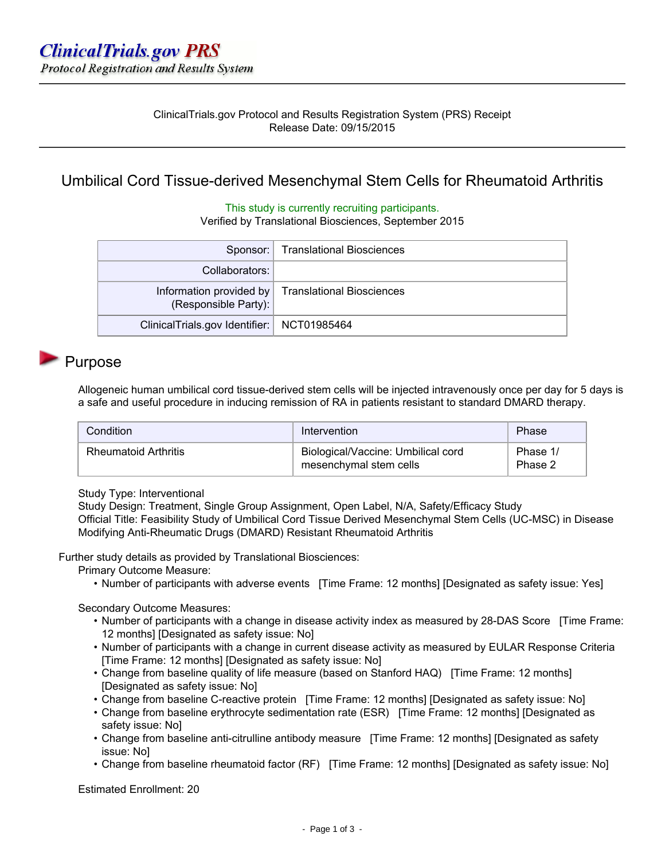### ClinicalTrials.gov Protocol and Results Registration System (PRS) Receipt Release Date: 09/15/2015

## Umbilical Cord Tissue-derived Mesenchymal Stem Cells for Rheumatoid Arthritis

#### This study is currently recruiting participants.

Verified by Translational Biosciences, September 2015

|                                              | Sponsor:   Translational Biosciences              |
|----------------------------------------------|---------------------------------------------------|
| Collaborators:                               |                                                   |
| (Responsible Party):                         | Information provided by Translational Biosciences |
| ClinicalTrials.gov Identifier:   NCT01985464 |                                                   |

### Purpose

Allogeneic human umbilical cord tissue-derived stem cells will be injected intravenously once per day for 5 days is a safe and useful procedure in inducing remission of RA in patients resistant to standard DMARD therapy.

| Condition                   | Intervention                                                 | Phase               |
|-----------------------------|--------------------------------------------------------------|---------------------|
| <b>Rheumatoid Arthritis</b> | Biological/Vaccine: Umbilical cord<br>mesenchymal stem cells | Phase 1/<br>Phase 2 |

#### Study Type: Interventional

Study Design: Treatment, Single Group Assignment, Open Label, N/A, Safety/Efficacy Study Official Title: Feasibility Study of Umbilical Cord Tissue Derived Mesenchymal Stem Cells (UC-MSC) in Disease Modifying Anti-Rheumatic Drugs (DMARD) Resistant Rheumatoid Arthritis

Further study details as provided by Translational Biosciences:

Primary Outcome Measure:

• Number of participants with adverse events [Time Frame: 12 months] [Designated as safety issue: Yes]

#### Secondary Outcome Measures:

- Number of participants with a change in disease activity index as measured by 28-DAS Score [Time Frame: 12 months] [Designated as safety issue: No]
- Number of participants with a change in current disease activity as measured by EULAR Response Criteria [Time Frame: 12 months] [Designated as safety issue: No]
- Change from baseline quality of life measure (based on Stanford HAQ) [Time Frame: 12 months] [Designated as safety issue: No]
- Change from baseline C-reactive protein [Time Frame: 12 months] [Designated as safety issue: No]
- Change from baseline erythrocyte sedimentation rate (ESR) [Time Frame: 12 months] [Designated as safety issue: No]
- Change from baseline anti-citrulline antibody measure [Time Frame: 12 months] [Designated as safety issue: No]
- Change from baseline rheumatoid factor (RF) [Time Frame: 12 months] [Designated as safety issue: No]

Estimated Enrollment: 20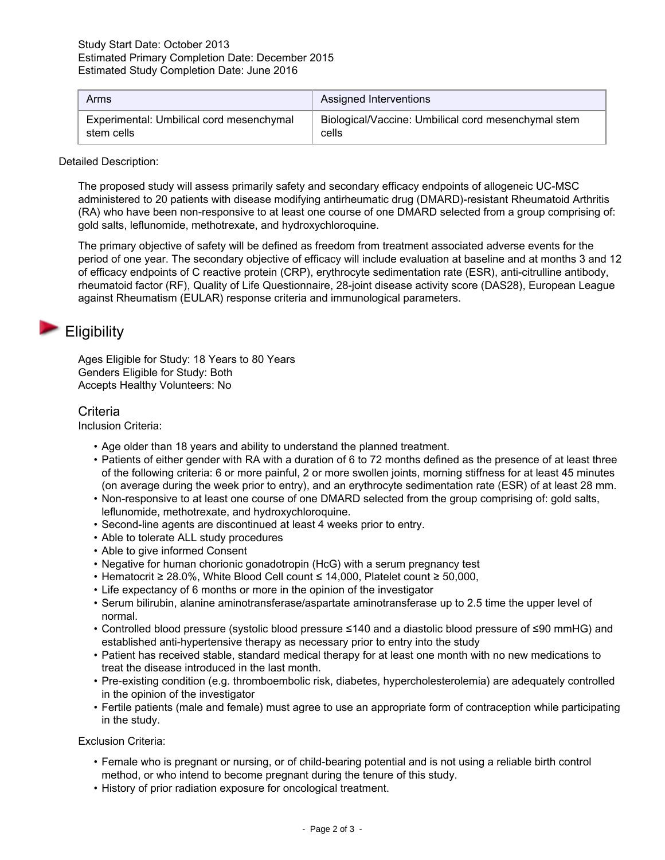| Arms                                     | Assigned Interventions                              |
|------------------------------------------|-----------------------------------------------------|
| Experimental: Umbilical cord mesenchymal | Biological/Vaccine: Umbilical cord mesenchymal stem |
| stem cells                               | cells                                               |

Detailed Description:

The proposed study will assess primarily safety and secondary efficacy endpoints of allogeneic UC-MSC administered to 20 patients with disease modifying antirheumatic drug (DMARD)-resistant Rheumatoid Arthritis (RA) who have been non-responsive to at least one course of one DMARD selected from a group comprising of: gold salts, leflunomide, methotrexate, and hydroxychloroquine.

The primary objective of safety will be defined as freedom from treatment associated adverse events for the period of one year. The secondary objective of efficacy will include evaluation at baseline and at months 3 and 12 of efficacy endpoints of C reactive protein (CRP), erythrocyte sedimentation rate (ESR), anti-citrulline antibody, rheumatoid factor (RF), Quality of Life Questionnaire, 28-joint disease activity score (DAS28), European League against Rheumatism (EULAR) response criteria and immunological parameters.

## **Eligibility**

Ages Eligible for Study: 18 Years to 80 Years Genders Eligible for Study: Both Accepts Healthy Volunteers: No

### **Criteria**

Inclusion Criteria:

- Age older than 18 years and ability to understand the planned treatment.
- Patients of either gender with RA with a duration of 6 to 72 months defined as the presence of at least three of the following criteria: 6 or more painful, 2 or more swollen joints, morning stiffness for at least 45 minutes (on average during the week prior to entry), and an erythrocyte sedimentation rate (ESR) of at least 28 mm.
- Non-responsive to at least one course of one DMARD selected from the group comprising of: gold salts, leflunomide, methotrexate, and hydroxychloroquine.
- Second-line agents are discontinued at least 4 weeks prior to entry.
- Able to tolerate ALL study procedures
- Able to give informed Consent
- Negative for human chorionic gonadotropin (HcG) with a serum pregnancy test
- Hematocrit ≥ 28.0%, White Blood Cell count ≤ 14,000, Platelet count ≥ 50,000,
- Life expectancy of 6 months or more in the opinion of the investigator
- Serum bilirubin, alanine aminotransferase/aspartate aminotransferase up to 2.5 time the upper level of normal.
- Controlled blood pressure (systolic blood pressure ≤140 and a diastolic blood pressure of ≤90 mmHG) and established anti-hypertensive therapy as necessary prior to entry into the study
- Patient has received stable, standard medical therapy for at least one month with no new medications to treat the disease introduced in the last month.
- Pre-existing condition (e.g. thromboembolic risk, diabetes, hypercholesterolemia) are adequately controlled in the opinion of the investigator
- Fertile patients (male and female) must agree to use an appropriate form of contraception while participating in the study.

Exclusion Criteria:

- Female who is pregnant or nursing, or of child-bearing potential and is not using a reliable birth control method, or who intend to become pregnant during the tenure of this study.
- History of prior radiation exposure for oncological treatment.